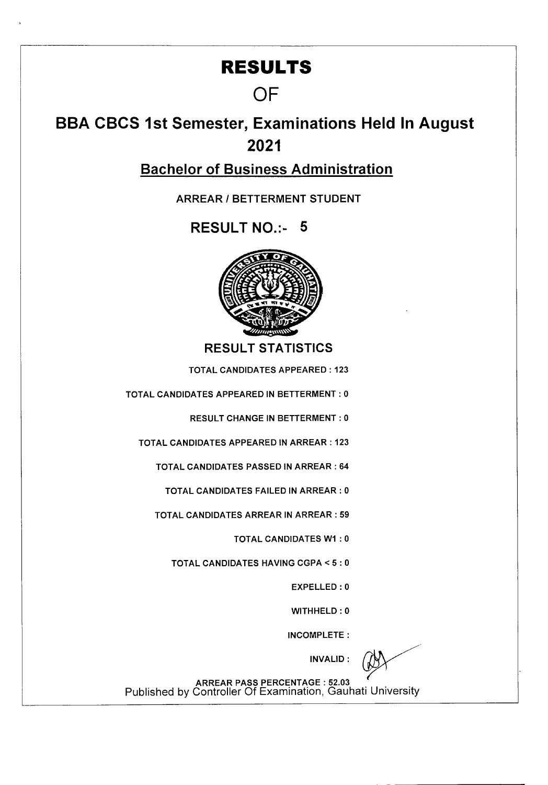## **RESULTS**

## **OF**

## **BBA CBCS 1st Semester, Examinations Held In August 2021**

Bachelor of Business Administration

ARREAR I BETTERMENT STUDENT

RESULT NO.:- 5



RESULT STATISTICS

TOTAL CANDIDATES APPEARED: 123

TOTAL CANDIDATES APPEARED IN BETTERMENT : 0

RESULT CHANGE IN BETTERMENT : 0

TOTAL CANDIDATES APPEARED IN ARREAR: 123

TOTAL CANDIDATES PASSED IN ARREAR : 64

TOTAL CANDIDATES FAILED IN ARREAR : 0

TOTAL CANDIDATES ARREAR IN ARREAR : 59

TOTAL CANDIDATES WI : 0

TOTAL CANDIDATES HAVING CGPA <5 : 0

EXPELLED : 0

WITHHELD : 0

INCOMPLETE:

INVALID:

ARREAR PASS PERCENTAGE : 52.03 Published by Controller Of Examination, Gauhati University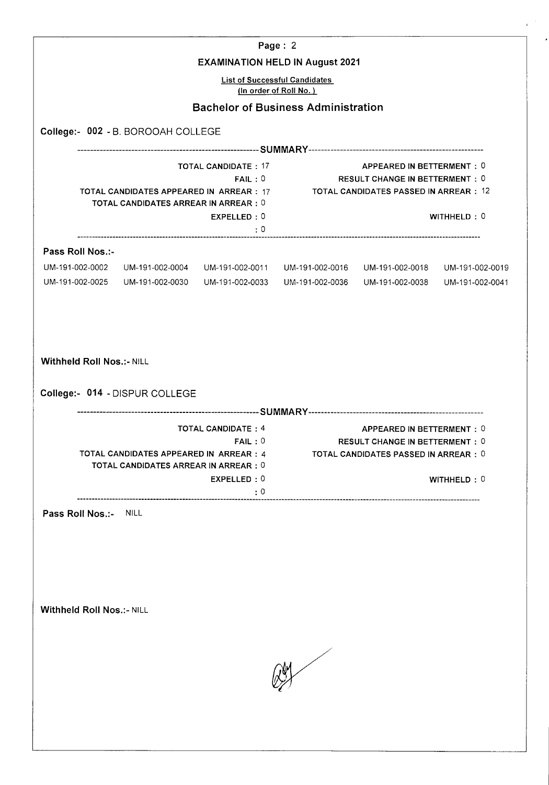|                                                                    |                                             |                                        | Page: 2<br><b>EXAMINATION HELD IN August 2021</b>                    |                                                                                                 |                 |
|--------------------------------------------------------------------|---------------------------------------------|----------------------------------------|----------------------------------------------------------------------|-------------------------------------------------------------------------------------------------|-----------------|
|                                                                    |                                             |                                        | <b>List of Successful Candidates</b>                                 |                                                                                                 |                 |
|                                                                    |                                             |                                        | (In order of Roll No.)<br><b>Bachelor of Business Administration</b> |                                                                                                 |                 |
|                                                                    |                                             |                                        |                                                                      |                                                                                                 |                 |
| College:- 002 - B. BOROOAH COLLEGE                                 |                                             |                                        |                                                                      |                                                                                                 |                 |
|                                                                    |                                             | <b>TOTAL CANDIDATE: 17</b>             |                                                                      | APPEARED IN BETTERMENT: 0                                                                       |                 |
|                                                                    |                                             | FAIL:0                                 |                                                                      | <b>RESULT CHANGE IN BETTERMENT: 0</b>                                                           |                 |
|                                                                    | <b>TOTAL CANDIDATES ARREAR IN ARREAR: 0</b> |                                        |                                                                      | TOTAL CANDIDATES APPEARED IN ARREAR : 17 TOTAL CANDIDATES PASSED IN ARREAR : 12                 |                 |
|                                                                    |                                             | EXPELLED: 0<br>$\cdot \cdot \cdot$ : 0 |                                                                      |                                                                                                 | WITHHELD: 0     |
|                                                                    |                                             |                                        |                                                                      |                                                                                                 |                 |
| Pass Roll Nos.:-                                                   |                                             |                                        |                                                                      | UM-191-002-0002 UM-191-002-0004 UM-191-002-0011 UM-191-002-0016 UM-191-002-0018 UM-191-002-0019 |                 |
|                                                                    | UM-191-002-0025 UM-191-002-0030             | UM-191-002-0033                        |                                                                      | UM-191-002-0036    UM-191-002-0038                                                              | UM-191-002-0041 |
| <b>Withheld Roll Nos.:- NILL</b><br>College:- 014 - DISPUR COLLEGE |                                             |                                        |                                                                      |                                                                                                 |                 |
|                                                                    |                                             | <b>TOTAL CANDIDATE: 4</b>              |                                                                      | APPEARED IN BETTERMENT: 0                                                                       |                 |
|                                                                    |                                             | FAIL:0                                 |                                                                      | <b>RESULT CHANGE IN BETTERMENT: 0</b>                                                           |                 |
|                                                                    | TOTAL CANDIDATES ARREAR IN ARREAR : 0       |                                        |                                                                      | TOTAL CANDIDATES APPEARED IN ARREAR : 4 TOTAL CANDIDATES PASSED IN ARREAR : 0                   |                 |
|                                                                    |                                             | EXPELLED: 0                            |                                                                      |                                                                                                 | WITHHELD: 0     |
|                                                                    | ----------------------------                | :0                                     |                                                                      |                                                                                                 |                 |
| Pass Roll Nos.:-<br><b>Withheld Roll Nos.:- NILL</b>               | <b>NILL</b>                                 |                                        |                                                                      |                                                                                                 |                 |
|                                                                    |                                             |                                        |                                                                      |                                                                                                 |                 |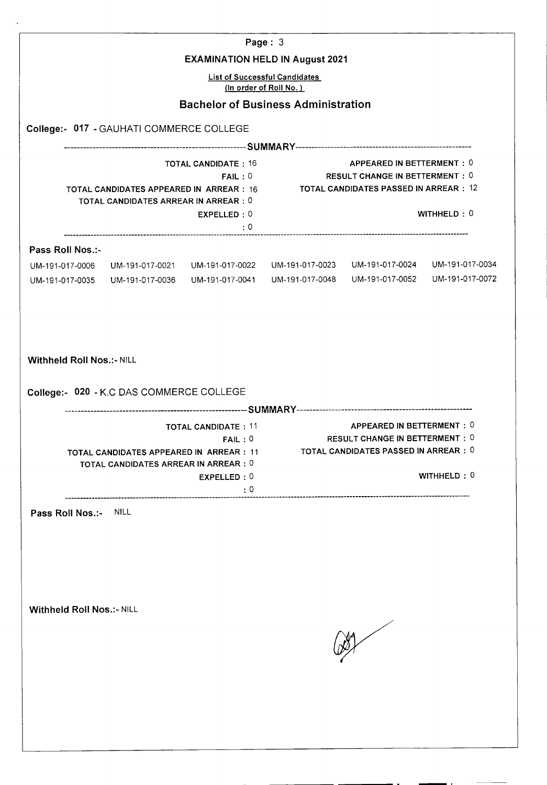|                                                           |                                                                                                                              |                                                     | Page: $3$                                                                                |                                                                                                       |             |
|-----------------------------------------------------------|------------------------------------------------------------------------------------------------------------------------------|-----------------------------------------------------|------------------------------------------------------------------------------------------|-------------------------------------------------------------------------------------------------------|-------------|
|                                                           |                                                                                                                              |                                                     | <b>EXAMINATION HELD IN August 2021</b>                                                   |                                                                                                       |             |
|                                                           |                                                                                                                              |                                                     | <b>List of Successful Candidates</b><br>(In order of Roll No.)                           |                                                                                                       |             |
|                                                           |                                                                                                                              |                                                     | <b>Bachelor of Business Administration</b>                                               |                                                                                                       |             |
|                                                           | College:- 017 - GAUHATI COMMERCE COLLEGE                                                                                     |                                                     |                                                                                          |                                                                                                       |             |
|                                                           |                                                                                                                              |                                                     |                                                                                          |                                                                                                       |             |
|                                                           |                                                                                                                              | <b>TOTAL CANDIDATE: 16</b>                          |                                                                                          | APPEARED IN BETTERMENT: 0                                                                             |             |
|                                                           | TOTAL CANDIDATES APPEARED IN ARREAR : 16<br>TOTAL CANDIDATES ARREAR IN ARREAR : 0                                            |                                                     | FAIL: 0 RESULT CHANGE IN BETTERMENT : 0<br><b>TOTAL CANDIDATES PASSED IN ARREAR : 12</b> |                                                                                                       |             |
|                                                           |                                                                                                                              | EXPELLED: 0<br>: 0                                  |                                                                                          |                                                                                                       | WITHHELD: 0 |
|                                                           |                                                                                                                              |                                                     |                                                                                          |                                                                                                       |             |
| Pass Roll Nos.:-<br>UM-191-017-0006                       | UM-191-017-0021 UM-191-017-0022                                                                                              |                                                     | UM-191-017-0023                                                                          | UM-191-017-0024 UM-191-017-0034                                                                       |             |
|                                                           | UM-191-017-0035 UM-191-017-0036                                                                                              | UM-191-017-0041                                     | UM-191-017-0048                                                                          | UM-191-017-0052 UM-191-017-0072                                                                       |             |
| <b>Withheld Roll Nos.:- NILL</b>                          | College:- 020 - K.C DAS COMMERCE COLLEGE<br>TOTAL CANDIDATES APPEARED IN ARREAR : 11<br>TOTAL CANDIDATES ARREAR IN ARREAR: 0 | <b>TOTAL CANDIDATE: 11</b><br>FAIL:0<br>EXPELLED: 0 |                                                                                          | APPEARED IN BETTERMENT: 0<br>RESULT CHANGE IN BETTERMENT : 0<br>TOTAL CANDIDATES PASSED IN ARREAR : 0 | WITHHELD: 0 |
|                                                           |                                                                                                                              | $\cdot$ 0                                           |                                                                                          |                                                                                                       |             |
| Pass Roll Nos.:- NILL<br><b>Withheld Roll Nos.:- NILL</b> |                                                                                                                              |                                                     |                                                                                          |                                                                                                       |             |
|                                                           |                                                                                                                              |                                                     |                                                                                          |                                                                                                       |             |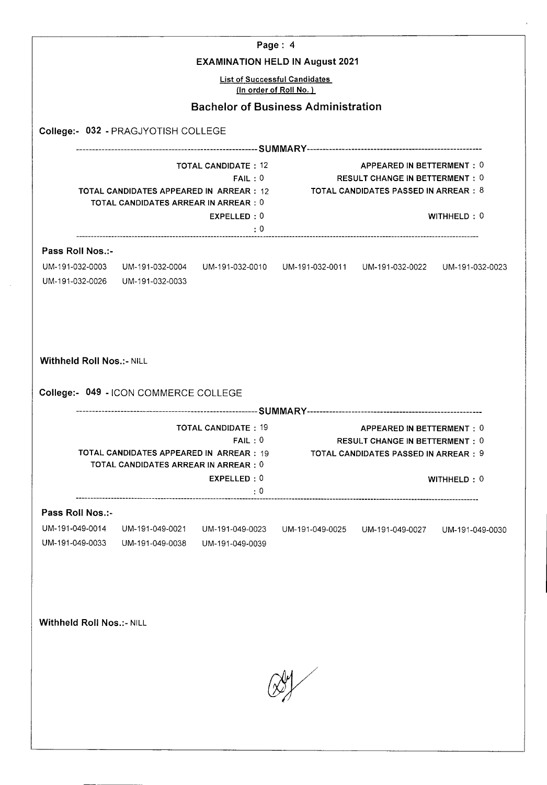|                                                                                                    |                                       |                                                                                                 | Page: 4<br><b>EXAMINATION HELD IN August 2021</b>                                                                                                            |                                                                    |             |
|----------------------------------------------------------------------------------------------------|---------------------------------------|-------------------------------------------------------------------------------------------------|--------------------------------------------------------------------------------------------------------------------------------------------------------------|--------------------------------------------------------------------|-------------|
|                                                                                                    |                                       |                                                                                                 | <b>List of Successful Candidates</b><br>(In order of Roll No.)                                                                                               |                                                                    |             |
|                                                                                                    |                                       | <b>Bachelor of Business Administration</b>                                                      |                                                                                                                                                              |                                                                    |             |
|                                                                                                    | College:- 032 - PRAGJYOTISH COLLEGE   |                                                                                                 |                                                                                                                                                              |                                                                    |             |
|                                                                                                    |                                       |                                                                                                 |                                                                                                                                                              |                                                                    |             |
| <b>TOTAL CANDIDATE: 12</b><br>FAIL:0<br><b>TOTAL CANDIDATES ARREAR IN ARREAR: 0</b><br>EXPELLED: 0 |                                       |                                                                                                 | APPEARED IN BETTERMENT: 0<br>RESULT CHANGE IN BETTERMENT: 0<br>TOTAL CANDIDATES APPEARED IN ARREAR : 12 TOTAL CANDIDATES PASSED IN ARREAR : 8<br>WITHHELD: 0 |                                                                    |             |
|                                                                                                    |                                       | $\cdot$ $:0$                                                                                    |                                                                                                                                                              |                                                                    |             |
| Pass Roll Nos.:-                                                                                   |                                       |                                                                                                 |                                                                                                                                                              |                                                                    |             |
|                                                                                                    | UM-191-032-0026 UM-191-032-0033       | UM-191-032-0003 UM-191-032-0004 UM-191-032-0010 UM-191-032-0011 UM-191-032-0022 UM-191-032-0023 |                                                                                                                                                              |                                                                    |             |
| <b>Withheld Roll Nos.:- NILL</b>                                                                   | College:- 049 - ICON COMMERCE COLLEGE | <b>TOTAL CANDIDATE: 19</b><br>FAIL:0                                                            |                                                                                                                                                              | APPEARED IN BETTERMENT: 0<br><b>RESULT CHANGE IN BETTERMENT: 0</b> |             |
|                                                                                                    | TOTAL CANDIDATES ARREAR IN ARREAR : 0 | TOTAL CANDIDATES APPEARED IN ARREAR : 19 TOTAL CANDIDATES PASSED IN ARREAR : 9                  |                                                                                                                                                              |                                                                    |             |
|                                                                                                    |                                       | EXPELLED: 0<br>$\cdot:0$                                                                        |                                                                                                                                                              |                                                                    | WITHHELD: 0 |
| Pass Roll Nos.:-                                                                                   |                                       |                                                                                                 |                                                                                                                                                              |                                                                    |             |
| UM-191-049-0014<br>UM-191-049-0033                                                                 | UM-191-049-0021<br>UM-191-049-0038    | UM-191-049-0023<br>UM-191-049-0039                                                              |                                                                                                                                                              | UM-191-049-0025    UM-191-049-0027    UM-191-049-0030              |             |
|                                                                                                    |                                       |                                                                                                 |                                                                                                                                                              |                                                                    |             |
| <b>Withheld Roll Nos.:- NILL</b>                                                                   |                                       |                                                                                                 |                                                                                                                                                              |                                                                    |             |
|                                                                                                    |                                       |                                                                                                 |                                                                                                                                                              |                                                                    |             |
|                                                                                                    |                                       |                                                                                                 |                                                                                                                                                              |                                                                    |             |
|                                                                                                    |                                       |                                                                                                 |                                                                                                                                                              |                                                                    |             |
|                                                                                                    |                                       |                                                                                                 |                                                                                                                                                              |                                                                    |             |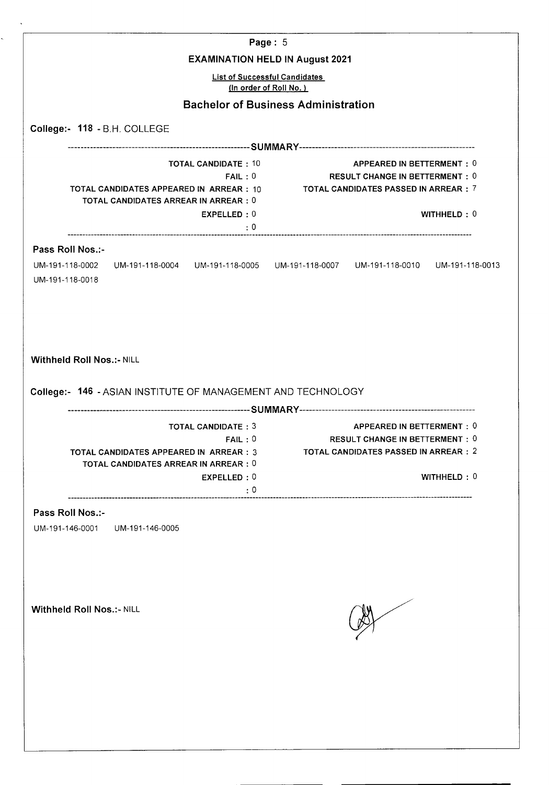|                                                                                                                                                                                                                                                       |                                                                                                                                                        |                                     | Page: 5                                                        |                                                                                                               |             |
|-------------------------------------------------------------------------------------------------------------------------------------------------------------------------------------------------------------------------------------------------------|--------------------------------------------------------------------------------------------------------------------------------------------------------|-------------------------------------|----------------------------------------------------------------|---------------------------------------------------------------------------------------------------------------|-------------|
|                                                                                                                                                                                                                                                       |                                                                                                                                                        |                                     | <b>EXAMINATION HELD IN August 2021</b>                         |                                                                                                               |             |
|                                                                                                                                                                                                                                                       |                                                                                                                                                        |                                     | <b>List of Successful Candidates</b><br>(In order of Roll No.) |                                                                                                               |             |
|                                                                                                                                                                                                                                                       |                                                                                                                                                        |                                     | <b>Bachelor of Business Administration</b>                     |                                                                                                               |             |
| College:- 118 - B.H. COLLEGE                                                                                                                                                                                                                          |                                                                                                                                                        |                                     |                                                                |                                                                                                               |             |
|                                                                                                                                                                                                                                                       |                                                                                                                                                        |                                     |                                                                |                                                                                                               |             |
| <b>TOTAL CANDIDATE: 10</b><br>APPEARED IN BETTERMENT: 0<br>FAIL:0<br><b>RESULT CHANGE IN BETTERMENT: 0</b><br>TOTAL CANDIDATES APPEARED IN ARREAR : 10<br>TOTAL CANDIDATES PASSED IN ARREAR $:~\,$ $7$<br><b>TOTAL CANDIDATES ARREAR IN ARREAR: 0</b> |                                                                                                                                                        |                                     |                                                                |                                                                                                               |             |
|                                                                                                                                                                                                                                                       |                                                                                                                                                        | EXPELLED: 0                         |                                                                |                                                                                                               | WITHHELD: 0 |
|                                                                                                                                                                                                                                                       |                                                                                                                                                        | : 0                                 |                                                                |                                                                                                               |             |
| Pass Roll Nos.:-<br>UM-191-118-0002<br>UM-191-118-0018                                                                                                                                                                                                | UM-191-118-0004    UM-191-118-0005    UM-191-118-0007    UM-191-118-0010    UM-191-118-0013                                                            |                                     |                                                                |                                                                                                               |             |
|                                                                                                                                                                                                                                                       | College:- 146 - ASIAN INSTITUTE OF MANAGEMENT AND TECHNOLOGY<br>TOTAL CANDIDATES APPEARED IN  ARREAR:3<br><b>TOTAL CANDIDATES ARREAR IN ARREAR : 0</b> | <b>TOTAL CANDIDATE: 3</b><br>FAIL:0 |                                                                | APPEARED IN BETTERMENT : 0<br><b>RESULT CHANGE IN BETTERMENT : 0</b><br>TOTAL CANDIDATES PASSED IN ARREAR : 2 |             |
|                                                                                                                                                                                                                                                       |                                                                                                                                                        | EXPELLED: 0<br>$\cdot$ 0            |                                                                |                                                                                                               | WITHHELD: 0 |
| Pass Roll Nos.:-<br>UM-191-146-0001                                                                                                                                                                                                                   | UM-191-146-0005                                                                                                                                        |                                     |                                                                |                                                                                                               |             |
| <b>Withheld Roll Nos.:- NILL</b>                                                                                                                                                                                                                      |                                                                                                                                                        |                                     |                                                                |                                                                                                               |             |
|                                                                                                                                                                                                                                                       |                                                                                                                                                        |                                     |                                                                |                                                                                                               |             |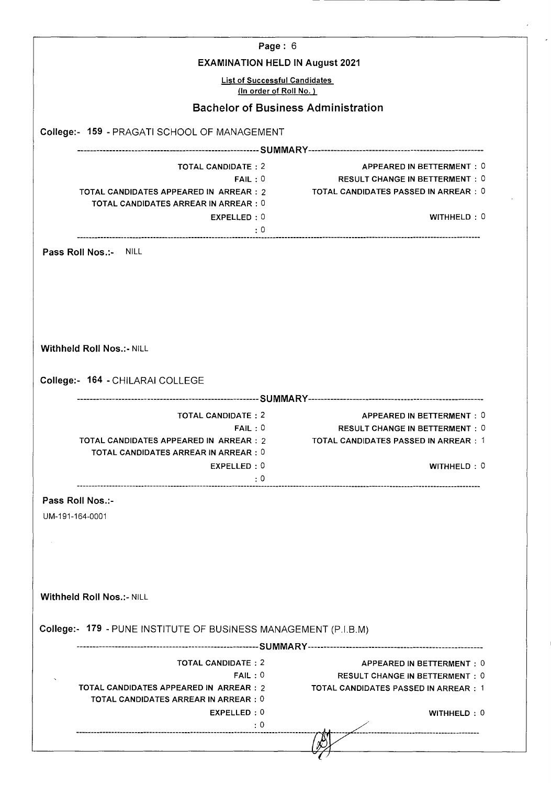| Page: 6                                                         |                                                                    |
|-----------------------------------------------------------------|--------------------------------------------------------------------|
| <b>EXAMINATION HELD IN August 2021</b>                          |                                                                    |
| <b>List of Successful Candidates</b><br>(In order of Roll No.)  |                                                                    |
| <b>Bachelor of Business Administration</b>                      |                                                                    |
|                                                                 |                                                                    |
| College:- 159 - PRAGATI SCHOOL OF MANAGEMENT                    |                                                                    |
|                                                                 |                                                                    |
| <b>TOTAL CANDIDATE: 2</b><br>FAIL:0                             | APPEARED IN BETTERMENT: 0<br><b>RESULT CHANGE IN BETTERMENT: 0</b> |
| TOTAL CANDIDATES APPEARED IN ARREAR : 2                         | TOTAL CANDIDATES PASSED IN ARREAR : 0                              |
| <b>TOTAL CANDIDATES ARREAR IN ARREAR: 0</b>                     | WITHHELD: 0                                                        |
| EXPELLED: 0<br>: 0                                              |                                                                    |
| Pass Roll Nos.:- NILL                                           |                                                                    |
|                                                                 |                                                                    |
|                                                                 |                                                                    |
|                                                                 |                                                                    |
|                                                                 |                                                                    |
|                                                                 |                                                                    |
|                                                                 |                                                                    |
|                                                                 |                                                                    |
|                                                                 |                                                                    |
|                                                                 |                                                                    |
| Withheld Roll Nos.:- NILL                                       |                                                                    |
|                                                                 |                                                                    |
|                                                                 |                                                                    |
| College:- 164 - CHILARAI COLLEGE                                |                                                                    |
|                                                                 |                                                                    |
|                                                                 |                                                                    |
| <b>TOTAL CANDIDATE: 2</b>                                       | APPEARED IN BETTERMENT: 0                                          |
| FAIL:0                                                          | <b>RESULT CHANGE IN BETTERMENT: 0</b>                              |
| TOTAL CANDIDATES APPEARED IN ARREAR : 2                         | TOTAL CANDIDATES PASSED IN ARREAR : 1                              |
| <b>TOTAL CANDIDATES ARREAR IN ARREAR: 0</b>                     |                                                                    |
| EXPELLED: 0                                                     |                                                                    |
|                                                                 | WITHHELD: 0                                                        |
| : 0                                                             |                                                                    |
| Pass Roll Nos.:-                                                |                                                                    |
| UM-191-164-0001                                                 |                                                                    |
|                                                                 |                                                                    |
|                                                                 |                                                                    |
|                                                                 |                                                                    |
|                                                                 |                                                                    |
|                                                                 |                                                                    |
|                                                                 |                                                                    |
| <b>Withheld Roll Nos.:- NILL</b>                                |                                                                    |
|                                                                 |                                                                    |
|                                                                 |                                                                    |
| College:- 179 - PUNE INSTITUTE OF BUSINESS MANAGEMENT (P.I.B.M) |                                                                    |
|                                                                 |                                                                    |
| <b>TOTAL CANDIDATE: 2</b>                                       | APPEARED IN BETTERMENT: 0                                          |
| FAIL:0                                                          |                                                                    |
|                                                                 | <b>RESULT CHANGE IN BETTERMENT: 0</b>                              |
| TOTAL CANDIDATES APPEARED IN ARREAR : 2                         | TOTAL CANDIDATES PASSED IN ARREAR : 1                              |
| <b>TOTAL CANDIDATES ARREAR IN ARREAR: 0</b>                     |                                                                    |
| EXPELLED: 0                                                     | WITHHELD: 0                                                        |
| : 0                                                             |                                                                    |
|                                                                 |                                                                    |
|                                                                 |                                                                    |
|                                                                 |                                                                    |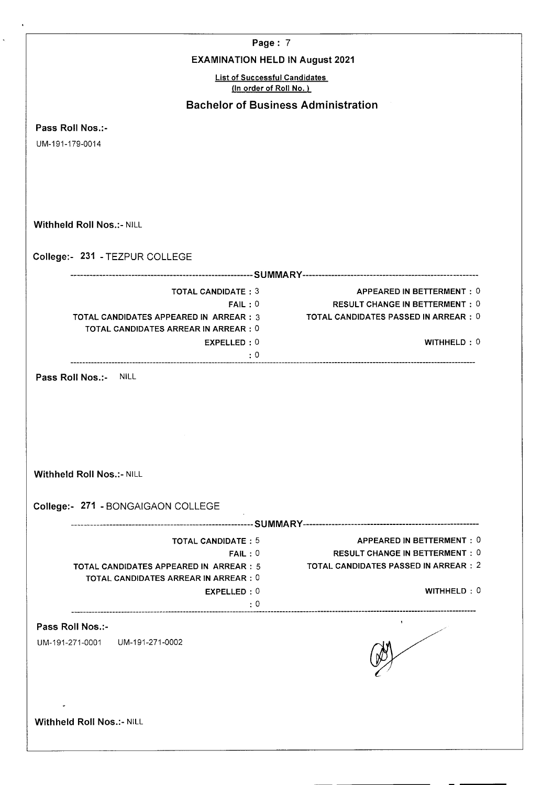| Page: 7                                                                                      |                                              |
|----------------------------------------------------------------------------------------------|----------------------------------------------|
| <b>EXAMINATION HELD IN August 2021</b>                                                       |                                              |
| <b>List of Successful Candidates</b><br>(In order of Roll No.)                               |                                              |
| <b>Bachelor of Business Administration</b>                                                   |                                              |
| Pass Roll Nos.:-                                                                             |                                              |
| UM-191-179-0014                                                                              |                                              |
|                                                                                              |                                              |
|                                                                                              |                                              |
|                                                                                              |                                              |
|                                                                                              |                                              |
| <b>Withheld Roll Nos.:- NILL</b>                                                             |                                              |
| College:- 231 - TEZPUR COLLEGE                                                               |                                              |
|                                                                                              |                                              |
| <b>TOTAL CANDIDATE: 3</b>                                                                    | <b>APPEARED IN BETTERMENT: 0</b>             |
| FAIL:0                                                                                       | <b>RESULT CHANGE IN BETTERMENT: 0</b>        |
| <b>TOTAL CANDIDATES APPEARED IN ARREAR: 3</b><br><b>TOTAL CANDIDATES ARREAR IN ARREAR: 0</b> | TOTAL CANDIDATES PASSED IN ARREAR : 0        |
| EXPELLED:0                                                                                   | WITHHELD: 0                                  |
| $\cdot$ 0                                                                                    |                                              |
|                                                                                              |                                              |
| Pass Roll Nos.:- NILL<br><b>Withheld Roll Nos.:- NILL</b>                                    |                                              |
|                                                                                              |                                              |
|                                                                                              |                                              |
| College:- 271 - BONGAIGAON COLLEGE<br><b>TOTAL CANDIDATE: 5</b>                              | APPEARED IN BETTERMENT: 0                    |
| FAIL:0                                                                                       | <b>RESULT CHANGE IN BETTERMENT: 0</b>        |
| TOTAL CANDIDATES APPEARED IN ARREAR : 5<br><b>TOTAL CANDIDATES ARREAR IN ARREAR : 0</b>      | <b>TOTAL CANDIDATES PASSED IN ARREAR : 2</b> |
| EXPELLED: 0                                                                                  | WITHHELD: 0                                  |
| $\cdot$ 0                                                                                    |                                              |
| Pass Roll Nos.:-                                                                             |                                              |
| UM-191-271-0001 UM-191-271-0002                                                              |                                              |
|                                                                                              |                                              |
|                                                                                              |                                              |
| <b>Withheld Roll Nos.:- NILL</b>                                                             |                                              |

 $\ddot{\phantom{a}}$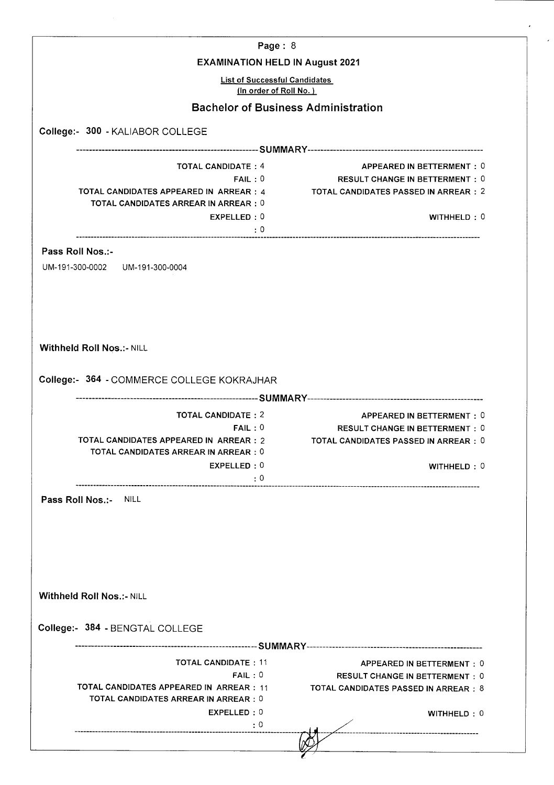| Page: 8                                                                                                                                              |                                                                                                                            |
|------------------------------------------------------------------------------------------------------------------------------------------------------|----------------------------------------------------------------------------------------------------------------------------|
| <b>EXAMINATION HELD IN August 2021</b>                                                                                                               |                                                                                                                            |
| <b>List of Successful Candidates</b><br>(In order of Roll No.)                                                                                       |                                                                                                                            |
| <b>Bachelor of Business Administration</b>                                                                                                           |                                                                                                                            |
| College:- 300 - KALIABOR COLLEGE                                                                                                                     |                                                                                                                            |
|                                                                                                                                                      |                                                                                                                            |
| <b>TOTAL CANDIDATE: 4</b><br>FAIL:0<br>TOTAL CANDIDATES APPEARED IN ARREAR : 4<br><b>TOTAL CANDIDATES ARREAR IN ARREAR : 0</b><br>EXPELLED: 0<br>: 0 | APPEARED IN BETTERMENT: 0<br><b>RESULT CHANGE IN BETTERMENT: 0</b><br>TOTAL CANDIDATES PASSED IN ARREAR : 2<br>WITHHELD: 0 |
| Pass Roll Nos.:-<br>UM-191-300-0002    UM-191-300-0004                                                                                               |                                                                                                                            |
| Withheld Roll Nos.:- NILL<br>College:- 364 - COMMERCE COLLEGE KOKRAJHAR                                                                              |                                                                                                                            |
|                                                                                                                                                      |                                                                                                                            |
| <b>TOTAL CANDIDATE: 2</b><br>FAIL:0<br>TOTAL CANDIDATES APPEARED IN ARREAR : 2<br>TOTAL CANDIDATES ARREAR IN ARREAR : 0<br>EXPELLED: 0<br>$\cdot$ 0  | APPEARED IN BETTERMENT: 0<br><b>RESULT CHANGE IN BETTERMENT: 0</b><br>TOTAL CANDIDATES PASSED IN ARREAR : 0<br>WITHHELD: 0 |
| Pass Roll Nos.:-<br><b>NILL</b>                                                                                                                      |                                                                                                                            |
| <b>Withheld Roll Nos.:- NILL</b>                                                                                                                     |                                                                                                                            |
| College:- 384 - BENGTAL COLLEGE                                                                                                                      |                                                                                                                            |
|                                                                                                                                                      |                                                                                                                            |
| <b>TOTAL CANDIDATE: 11</b><br>FAIL:0<br>TOTAL CANDIDATES APPEARED IN ARREAR : 11<br><b>TOTAL CANDIDATES ARREAR IN ARREAR : 0</b><br>EXPELLED: 0      | APPEARED IN BETTERMENT: 0<br><b>RESULT CHANGE IN BETTERMENT: 0</b><br>TOTAL CANDIDATES PASSED IN ARREAR : 8<br>WITHHELD: 0 |
| : 0                                                                                                                                                  |                                                                                                                            |